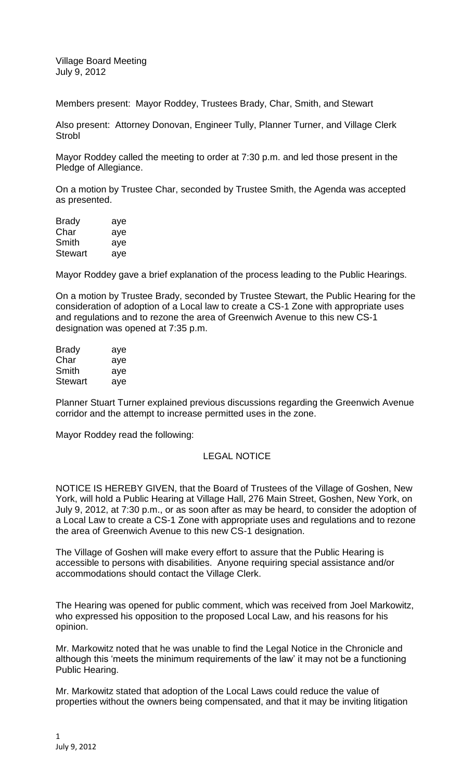Village Board Meeting July 9, 2012

Members present: Mayor Roddey, Trustees Brady, Char, Smith, and Stewart

Also present: Attorney Donovan, Engineer Tully, Planner Turner, and Village Clerk **Strobl** 

Mayor Roddey called the meeting to order at 7:30 p.m. and led those present in the Pledge of Allegiance.

On a motion by Trustee Char, seconded by Trustee Smith, the Agenda was accepted as presented.

| <b>Brady</b>   | aye |
|----------------|-----|
| Char           | aye |
| Smith          | aye |
| <b>Stewart</b> | aye |

Mayor Roddey gave a brief explanation of the process leading to the Public Hearings.

On a motion by Trustee Brady, seconded by Trustee Stewart, the Public Hearing for the consideration of adoption of a Local law to create a CS-1 Zone with appropriate uses and regulations and to rezone the area of Greenwich Avenue to this new CS-1 designation was opened at 7:35 p.m.

| <b>Brady</b>   | aye |
|----------------|-----|
| Char           | aye |
| Smith          | aye |
| <b>Stewart</b> | aye |

Planner Stuart Turner explained previous discussions regarding the Greenwich Avenue corridor and the attempt to increase permitted uses in the zone.

Mayor Roddey read the following:

## LEGAL NOTICE

NOTICE IS HEREBY GIVEN, that the Board of Trustees of the Village of Goshen, New York, will hold a Public Hearing at Village Hall, 276 Main Street, Goshen, New York, on July 9, 2012, at 7:30 p.m., or as soon after as may be heard, to consider the adoption of a Local Law to create a CS-1 Zone with appropriate uses and regulations and to rezone the area of Greenwich Avenue to this new CS-1 designation.

The Village of Goshen will make every effort to assure that the Public Hearing is accessible to persons with disabilities. Anyone requiring special assistance and/or accommodations should contact the Village Clerk.

The Hearing was opened for public comment, which was received from Joel Markowitz, who expressed his opposition to the proposed Local Law, and his reasons for his opinion.

Mr. Markowitz noted that he was unable to find the Legal Notice in the Chronicle and although this 'meets the minimum requirements of the law' it may not be a functioning Public Hearing.

Mr. Markowitz stated that adoption of the Local Laws could reduce the value of properties without the owners being compensated, and that it may be inviting litigation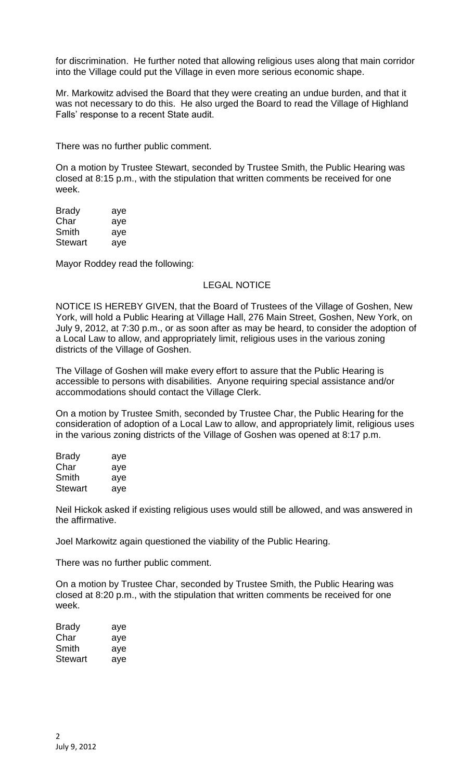for discrimination. He further noted that allowing religious uses along that main corridor into the Village could put the Village in even more serious economic shape.

Mr. Markowitz advised the Board that they were creating an undue burden, and that it was not necessary to do this. He also urged the Board to read the Village of Highland Falls' response to a recent State audit.

There was no further public comment.

On a motion by Trustee Stewart, seconded by Trustee Smith, the Public Hearing was closed at 8:15 p.m., with the stipulation that written comments be received for one week.

| <b>Brady</b>   | aye |
|----------------|-----|
| Char           | aye |
| Smith          | aye |
| <b>Stewart</b> | aye |

Mayor Roddey read the following:

## LEGAL NOTICE

NOTICE IS HEREBY GIVEN, that the Board of Trustees of the Village of Goshen, New York, will hold a Public Hearing at Village Hall, 276 Main Street, Goshen, New York, on July 9, 2012, at 7:30 p.m., or as soon after as may be heard, to consider the adoption of a Local Law to allow, and appropriately limit, religious uses in the various zoning districts of the Village of Goshen.

The Village of Goshen will make every effort to assure that the Public Hearing is accessible to persons with disabilities. Anyone requiring special assistance and/or accommodations should contact the Village Clerk.

On a motion by Trustee Smith, seconded by Trustee Char, the Public Hearing for the consideration of adoption of a Local Law to allow, and appropriately limit, religious uses in the various zoning districts of the Village of Goshen was opened at 8:17 p.m.

| <b>Brady</b> | aye |
|--------------|-----|
| Char         | aye |
| Smith        | aye |
| Stewart      | aye |

Neil Hickok asked if existing religious uses would still be allowed, and was answered in the affirmative.

Joel Markowitz again questioned the viability of the Public Hearing.

There was no further public comment.

On a motion by Trustee Char, seconded by Trustee Smith, the Public Hearing was closed at 8:20 p.m., with the stipulation that written comments be received for one week.

| Brady   | aye |
|---------|-----|
| Char    | aye |
| Smith   | aye |
| Stewart | aye |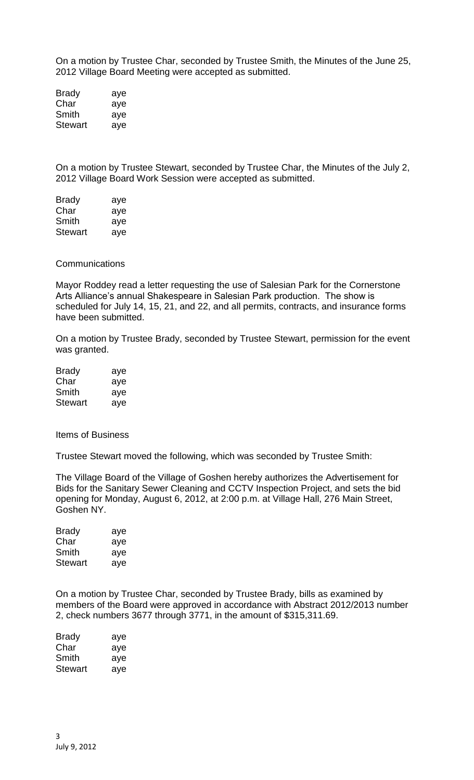On a motion by Trustee Char, seconded by Trustee Smith, the Minutes of the June 25, 2012 Village Board Meeting were accepted as submitted.

Brady aye Char aye Smith aye Stewart aye

On a motion by Trustee Stewart, seconded by Trustee Char, the Minutes of the July 2, 2012 Village Board Work Session were accepted as submitted.

| <b>Brady</b>   | aye |
|----------------|-----|
| Char           | aye |
| Smith          | aye |
| <b>Stewart</b> | aye |

## **Communications**

Mayor Roddey read a letter requesting the use of Salesian Park for the Cornerstone Arts Alliance's annual Shakespeare in Salesian Park production. The show is scheduled for July 14, 15, 21, and 22, and all permits, contracts, and insurance forms have been submitted.

On a motion by Trustee Brady, seconded by Trustee Stewart, permission for the event was granted.

| <b>Brady</b>   | aye |
|----------------|-----|
| Char           | aye |
| Smith          | aye |
| <b>Stewart</b> | aye |

Items of Business

Trustee Stewart moved the following, which was seconded by Trustee Smith:

The Village Board of the Village of Goshen hereby authorizes the Advertisement for Bids for the Sanitary Sewer Cleaning and CCTV Inspection Project, and sets the bid opening for Monday, August 6, 2012, at 2:00 p.m. at Village Hall, 276 Main Street, Goshen NY.

| aye |
|-----|
| aye |
| aye |
| aye |
|     |

On a motion by Trustee Char, seconded by Trustee Brady, bills as examined by members of the Board were approved in accordance with Abstract 2012/2013 number 2, check numbers 3677 through 3771, in the amount of \$315,311.69.

| Brady   | aye |
|---------|-----|
| Char    | aye |
| Smith   | aye |
| Stewart | ave |